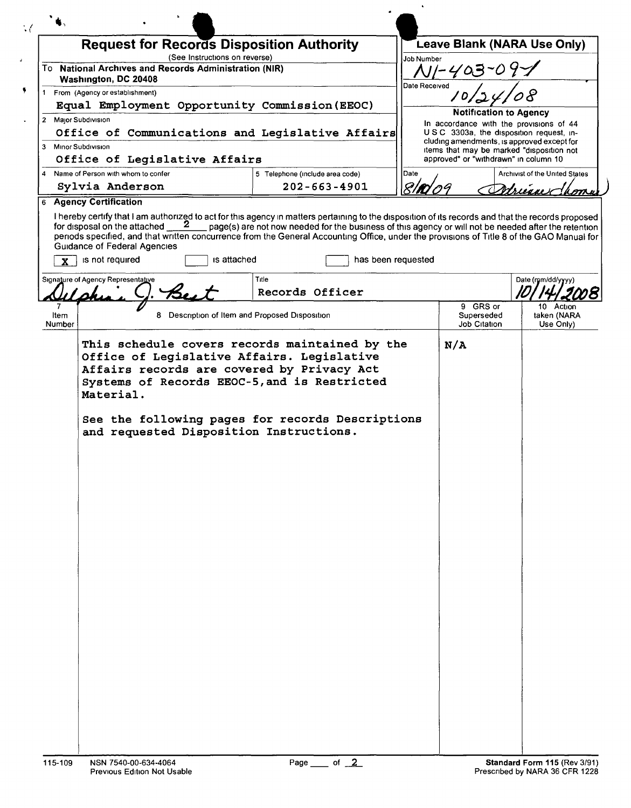|                     |                                                                                        |                               | <b>Request for Records Disposition Authority</b>                                                                                                                                                                                                                                                                                                                                                                                                                                     |                    | Leave Blank (NARA Use Only)                                                             |                                       |
|---------------------|----------------------------------------------------------------------------------------|-------------------------------|--------------------------------------------------------------------------------------------------------------------------------------------------------------------------------------------------------------------------------------------------------------------------------------------------------------------------------------------------------------------------------------------------------------------------------------------------------------------------------------|--------------------|-----------------------------------------------------------------------------------------|---------------------------------------|
|                     | To National Archives and Records Administration (NIR)                                  | (See Instructions on reverse) |                                                                                                                                                                                                                                                                                                                                                                                                                                                                                      | Job Number         | A11-403-0                                                                               |                                       |
|                     | Washington, DC 20408<br>1 From (Agency or establishment)                               |                               |                                                                                                                                                                                                                                                                                                                                                                                                                                                                                      | Date Received      |                                                                                         |                                       |
|                     |                                                                                        |                               | Equal Employment Opportunity Commission (EEOC)                                                                                                                                                                                                                                                                                                                                                                                                                                       |                    |                                                                                         |                                       |
| 2 Maior Subdivision |                                                                                        |                               |                                                                                                                                                                                                                                                                                                                                                                                                                                                                                      |                    | <b>Notification to Agency</b>                                                           |                                       |
|                     |                                                                                        |                               | Office of Communications and Legislative Affairs                                                                                                                                                                                                                                                                                                                                                                                                                                     |                    | In accordance with the provisions of 44<br>USC 3303a, the disposition request, in-      |                                       |
| 3 Minor Subdivision |                                                                                        |                               |                                                                                                                                                                                                                                                                                                                                                                                                                                                                                      |                    | cluding amendments, is approved except for<br>items that may be marked "disposition not |                                       |
|                     | Office of Legislative Affairs                                                          |                               |                                                                                                                                                                                                                                                                                                                                                                                                                                                                                      |                    | approved" or "withdrawn" in column 10                                                   |                                       |
| 4                   | Name of Person with whom to confer                                                     |                               | 5 Telephone (include area code)                                                                                                                                                                                                                                                                                                                                                                                                                                                      | Date               |                                                                                         | <b>Archivist of the United States</b> |
|                     | Sylvia Anderson<br><b>6 Agency Certification</b>                                       |                               | $202 - 663 - 4901$                                                                                                                                                                                                                                                                                                                                                                                                                                                                   |                    |                                                                                         |                                       |
|                     | for disposal on the attached<br><b>Guidance of Federal Agencies</b><br>is not required | is attached                   | I hereby certify that I am authorized to act for this agency in matters pertaining to the disposition of its records and that the records proposed for disposal on the attached $\sim 2$ page(s) are not now needed for the bus<br>page(s) are not now needed for the business of this agency or will not be needed after the retention<br>periods specified, and that written concurrence from the General Accounting Office, under the provisions of Title 8 of the GAO Manual for | has been requested |                                                                                         |                                       |
|                     | Signature of Agency Representative                                                     |                               | Title<br>Records Officer                                                                                                                                                                                                                                                                                                                                                                                                                                                             |                    |                                                                                         | Date (mm/dd/yyyy)                     |
|                     |                                                                                        |                               |                                                                                                                                                                                                                                                                                                                                                                                                                                                                                      |                    | 9 GRS or                                                                                | 10 Action                             |
| Item<br>Number      |                                                                                        |                               | 8 Description of Item and Proposed Disposition                                                                                                                                                                                                                                                                                                                                                                                                                                       |                    | Superseded<br><b>Job Citation</b>                                                       | taken (NARA<br>Use Only)              |
|                     | Material.                                                                              |                               | Affairs records are covered by Privacy Act<br>Systems of Records EEOC-5, and is Restricted<br>See the following pages for records Descriptions                                                                                                                                                                                                                                                                                                                                       |                    |                                                                                         |                                       |
|                     | and requested Disposition Instructions.                                                |                               |                                                                                                                                                                                                                                                                                                                                                                                                                                                                                      |                    |                                                                                         |                                       |
|                     |                                                                                        |                               |                                                                                                                                                                                                                                                                                                                                                                                                                                                                                      |                    |                                                                                         |                                       |
|                     |                                                                                        |                               |                                                                                                                                                                                                                                                                                                                                                                                                                                                                                      |                    |                                                                                         |                                       |
|                     |                                                                                        |                               |                                                                                                                                                                                                                                                                                                                                                                                                                                                                                      |                    |                                                                                         |                                       |
|                     |                                                                                        |                               |                                                                                                                                                                                                                                                                                                                                                                                                                                                                                      |                    |                                                                                         |                                       |
|                     |                                                                                        |                               |                                                                                                                                                                                                                                                                                                                                                                                                                                                                                      |                    |                                                                                         |                                       |
|                     |                                                                                        |                               |                                                                                                                                                                                                                                                                                                                                                                                                                                                                                      |                    |                                                                                         |                                       |
|                     |                                                                                        |                               |                                                                                                                                                                                                                                                                                                                                                                                                                                                                                      |                    |                                                                                         |                                       |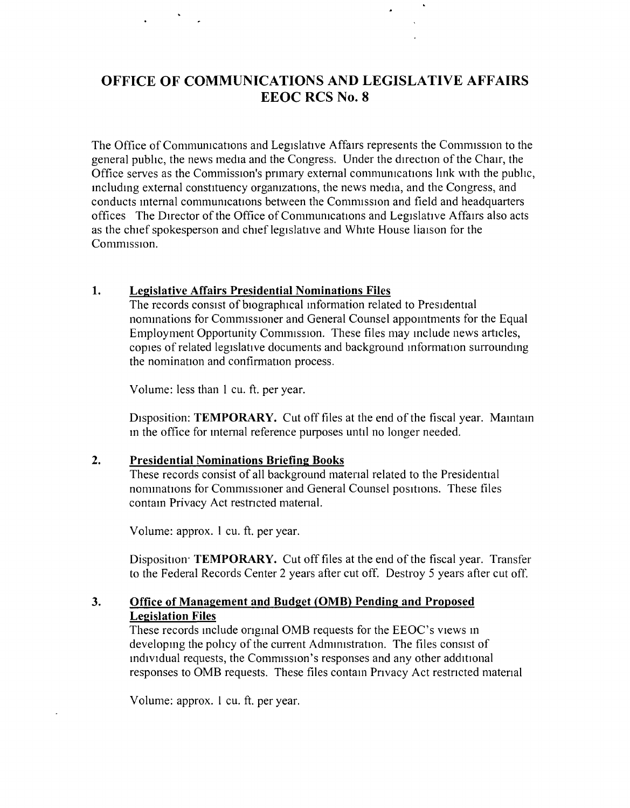## **OFFICE OF COMMUNICATIONS AND LEGISLATIVE AFFAIRS EEOC RCS No.8**

The Office of Communications and Legislative Affairs represents the Commission to the general public, the news media and the Congress. Under the direction of the Chair, the Office serves as the Commission's primary external communications link with the public, including external constituency organizations, the news media, and the Congress, and conducts internal communications between the Commission and field and headquarters offices The Director of the Office of Communications and Legislative Affairs also acts as the chief spokesperson and chief legislative and White House liaison for the Commission.

## **1. Legislative Affairs Presidential Nominations Files**

The records consist of biographical information related to Presidential nommations for Commissioner and General Counsel appointments for the Equal Employment Opportunity Commission. These files may include news articles, copies of related legislative documents and background mformation surrounding the nomination and confirmation process.

Volume: less than 1 cu. ft. per year.

Disposition: **TEMPORARY.** Cut off files at the end of the fiscal year. Maintain m the office for mternal reference purposes until no longer needed.

## **2. Presidential Nominations Briefing Books**

These records consist of all background matenal related to the Presidential nominations for Commissioner and General Counsel positions. These files contain Privacy Act restncted matenal.

Volume: approx. 1 cu. ft. per year.

Disposition<sup>.</sup> TEMPORARY. Cut off files at the end of the fiscal year. Transfer to the Federal Records Center 2 years after cut off. Destroy 5 years after cut off.

## **3. Office of Management and Budget (OMB) Pending and Proposed Legislation Files**

These records include onginal OMB requests for the EEOC's views in developing the policy of the current Administration. The files consist of individual requests, the Commission's responses and any other additional responses to OMB requests. These files contain Privacy Act restricted material

Volume: approx. 1 cu. ft. per year.